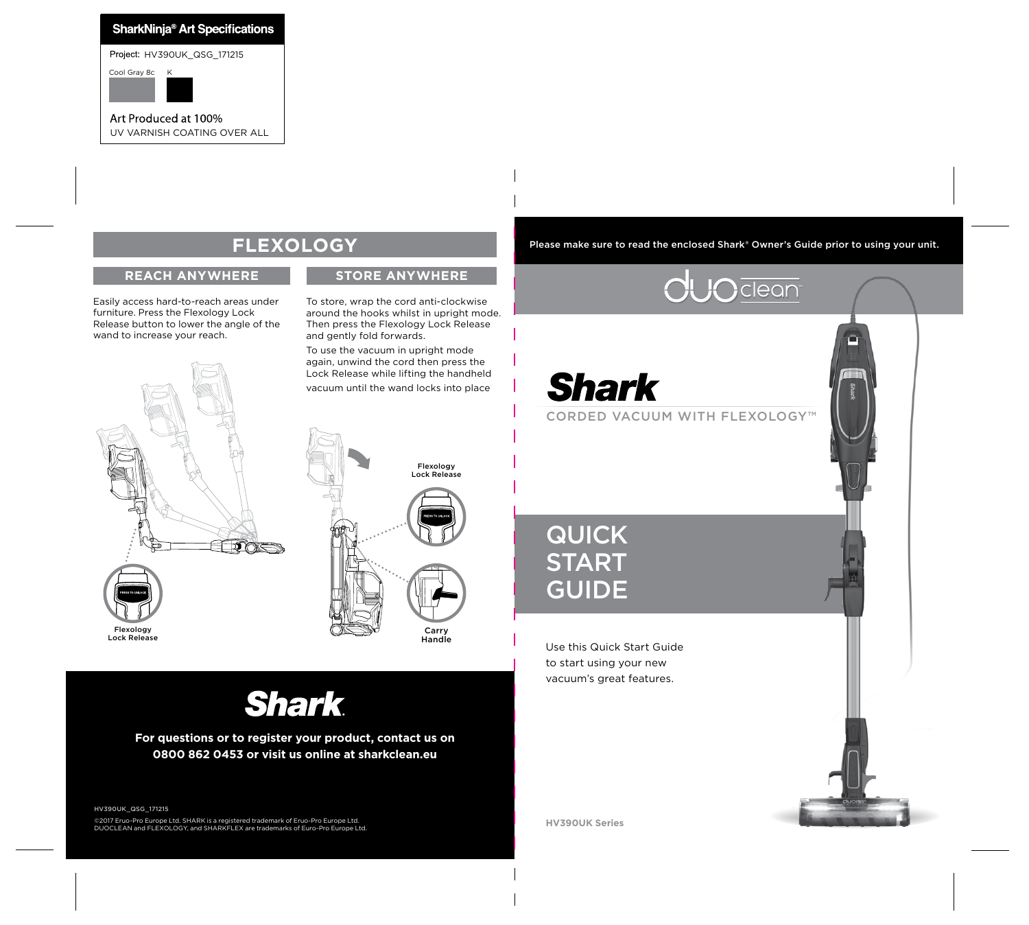### **SharkNinja<sup>®</sup> Art Specifications**

Project: HV390UK\_QSG\_171215

Cool Gray 8c

Art Produced at 100% UV VARNISH COATING OVER ALL

## **FLEXOLOGY**

#### **REACH ANYWHERE STORE ANYWHERE**

Easily access hard-to-reach areas under furniture. Press the Flexology Lock Release button to lower the angle of the wand to increase your reach.





To store, wrap the cord anti-clockwise around the hooks whilst in upright mode. Then press the Flexology Lock Release

To use the vacuum in upright mode again, unwind the cord then press the Lock Release while lifting the handheld vacuum until the wand locks into place

and gently fold forwards.

QUICK **START** GUIDE

Use this Quick Start Guide to start using your new vacuum's great features.

**Shark** 

**For questions or to register your product, contact us on 0800 862 0453 or visit us online at sharkclean.eu**

HV390UK\_QSG\_171215 ©2017 Eruo-Pro Europe Ltd. SHARK is a registered trademark of Eruo-Pro Europe Ltd. DUOCLEAN and FLEXOLOGY, and SHARKFLEX are trademarks of Euro-Pro Europe Ltd.

**HV390UK Series**